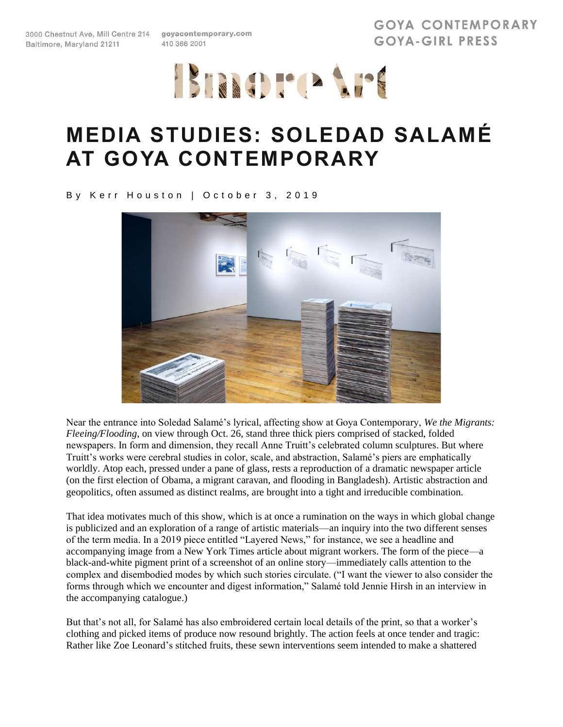3000 Chestnut Ave, Mill Centre 214 goyacontemporary.com Baltimore, Maryland 21211

410 366 2001

**GOYA CONTEMPORARY** GOYA-GIRL PRESS



## **MEDIA STUDIES: SOLEDAD SALAMÉ AT GOYA CONTEMPORARY**

By Kerr Houston | October 3, 2019



Near the entrance into Soledad Salamé's lyrical, affecting show at Goya Contemporary, *We the Migrants: Fleeing/Flooding*, on view through Oct. 26, stand three thick piers comprised of stacked, folded newspapers. In form and dimension, they recall Anne Truitt's celebrated column sculptures. But where Truitt's works were cerebral studies in color, scale, and abstraction, Salamé's piers are emphatically worldly. Atop each, pressed under a pane of glass, rests a reproduction of a dramatic newspaper article (on the first election of Obama, a migrant caravan, and flooding in Bangladesh). Artistic abstraction and geopolitics, often assumed as distinct realms, are brought into a tight and irreducible combination.

That idea motivates much of this show, which is at once a rumination on the ways in which global change is publicized and an exploration of a range of artistic materials—an inquiry into the two different senses of the term media. In a 2019 piece entitled "Layered News," for instance, we see a headline and accompanying image from a New York Times article about migrant workers. The form of the piece—a black-and-white pigment print of a screenshot of an online story—immediately calls attention to the complex and disembodied modes by which such stories circulate. ("I want the viewer to also consider the forms through which we encounter and digest information," Salamé told Jennie Hirsh in an interview in the accompanying catalogue.)

But that's not all, for Salamé has also embroidered certain local details of the print, so that a worker's clothing and picked items of produce now resound brightly. The action feels at once tender and tragic: Rather like Zoe Leonard's stitched fruits, these sewn interventions seem intended to make a shattered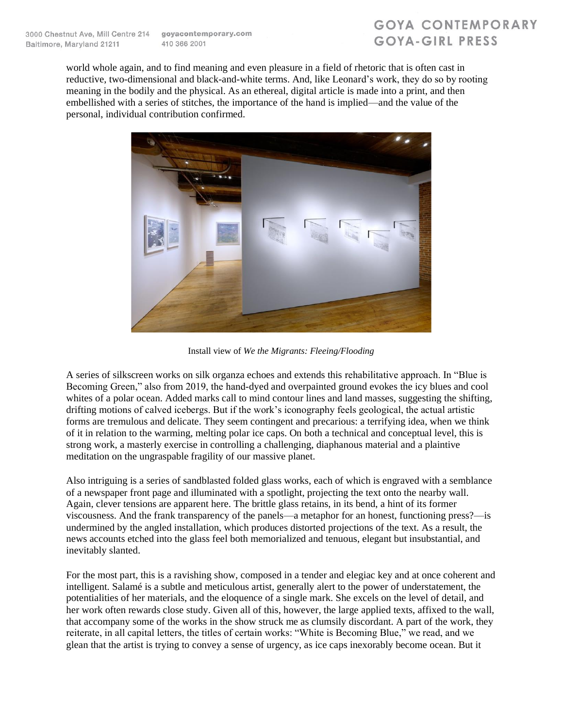## **GOYA CONTEMPORARY** GOYA-GIRL PRESS

world whole again, and to find meaning and even pleasure in a field of rhetoric that is often cast in reductive, two-dimensional and black-and-white terms. And, like Leonard's work, they do so by rooting meaning in the bodily and the physical. As an ethereal, digital article is made into a print, and then embellished with a series of stitches, the importance of the hand is implied—and the value of the personal, individual contribution confirmed.



Install view of *We the Migrants: Fleeing/Flooding*

A series of silkscreen works on silk organza echoes and extends this rehabilitative approach. In "Blue is Becoming Green," also from 2019, the hand-dyed and overpainted ground evokes the icy blues and cool whites of a polar ocean. Added marks call to mind contour lines and land masses, suggesting the shifting, drifting motions of calved icebergs. But if the work's iconography feels geological, the actual artistic forms are tremulous and delicate. They seem contingent and precarious: a terrifying idea, when we think of it in relation to the warming, melting polar ice caps. On both a technical and conceptual level, this is strong work, a masterly exercise in controlling a challenging, diaphanous material and a plaintive meditation on the ungraspable fragility of our massive planet.

Also intriguing is a series of sandblasted folded glass works, each of which is engraved with a semblance of a newspaper front page and illuminated with a spotlight, projecting the text onto the nearby wall. Again, clever tensions are apparent here. The brittle glass retains, in its bend, a hint of its former viscousness. And the frank transparency of the panels—a metaphor for an honest, functioning press?—is undermined by the angled installation, which produces distorted projections of the text. As a result, the news accounts etched into the glass feel both memorialized and tenuous, elegant but insubstantial, and inevitably slanted.

For the most part, this is a ravishing show, composed in a tender and elegiac key and at once coherent and intelligent. Salamé is a subtle and meticulous artist, generally alert to the power of understatement, the potentialities of her materials, and the eloquence of a single mark. She excels on the level of detail, and her work often rewards close study. Given all of this, however, the large applied texts, affixed to the wall, that accompany some of the works in the show struck me as clumsily discordant. A part of the work, they reiterate, in all capital letters, the titles of certain works: "White is Becoming Blue," we read, and we glean that the artist is trying to convey a sense of urgency, as ice caps inexorably become ocean. But it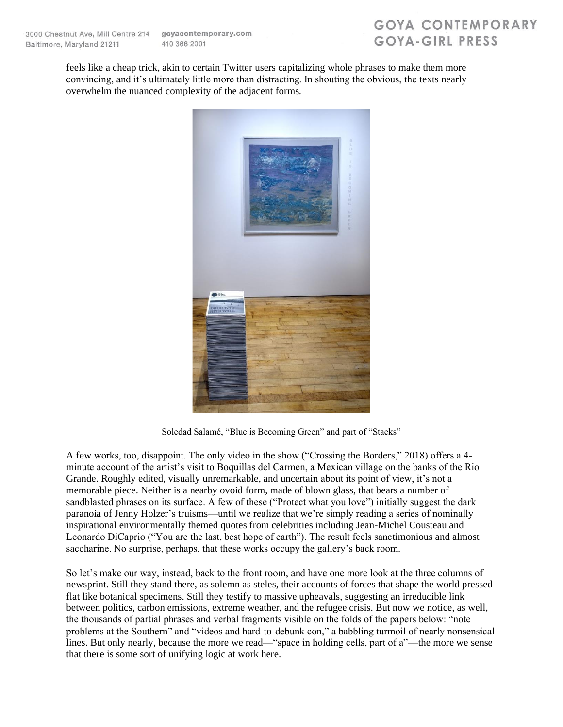## **GOYA CONTEMPORARY** GOYA-GIRL PRESS

feels like a cheap trick, akin to certain Twitter users capitalizing whole phrases to make them more convincing, and it's ultimately little more than distracting. In shouting the obvious, the texts nearly overwhelm the nuanced complexity of the adjacent forms.



Soledad Salamé, "Blue is Becoming Green" and part of "Stacks"

A few works, too, disappoint. The only video in the show ("Crossing the Borders," 2018) offers a 4 minute account of the artist's visit to Boquillas del Carmen, a Mexican village on the banks of the Rio Grande. Roughly edited, visually unremarkable, and uncertain about its point of view, it's not a memorable piece. Neither is a nearby ovoid form, made of blown glass, that bears a number of sandblasted phrases on its surface. A few of these ("Protect what you love") initially suggest the dark paranoia of Jenny Holzer's truisms—until we realize that we're simply reading a series of nominally inspirational environmentally themed quotes from celebrities including Jean-Michel Cousteau and Leonardo DiCaprio ("You are the last, best hope of earth"). The result feels sanctimonious and almost saccharine. No surprise, perhaps, that these works occupy the gallery's back room.

So let's make our way, instead, back to the front room, and have one more look at the three columns of newsprint. Still they stand there, as solemn as steles, their accounts of forces that shape the world pressed flat like botanical specimens. Still they testify to massive upheavals, suggesting an irreducible link between politics, carbon emissions, extreme weather, and the refugee crisis. But now we notice, as well, the thousands of partial phrases and verbal fragments visible on the folds of the papers below: "note problems at the Southern" and "videos and hard-to-debunk con," a babbling turmoil of nearly nonsensical lines. But only nearly, because the more we read—"space in holding cells, part of a"—the more we sense that there is some sort of unifying logic at work here.